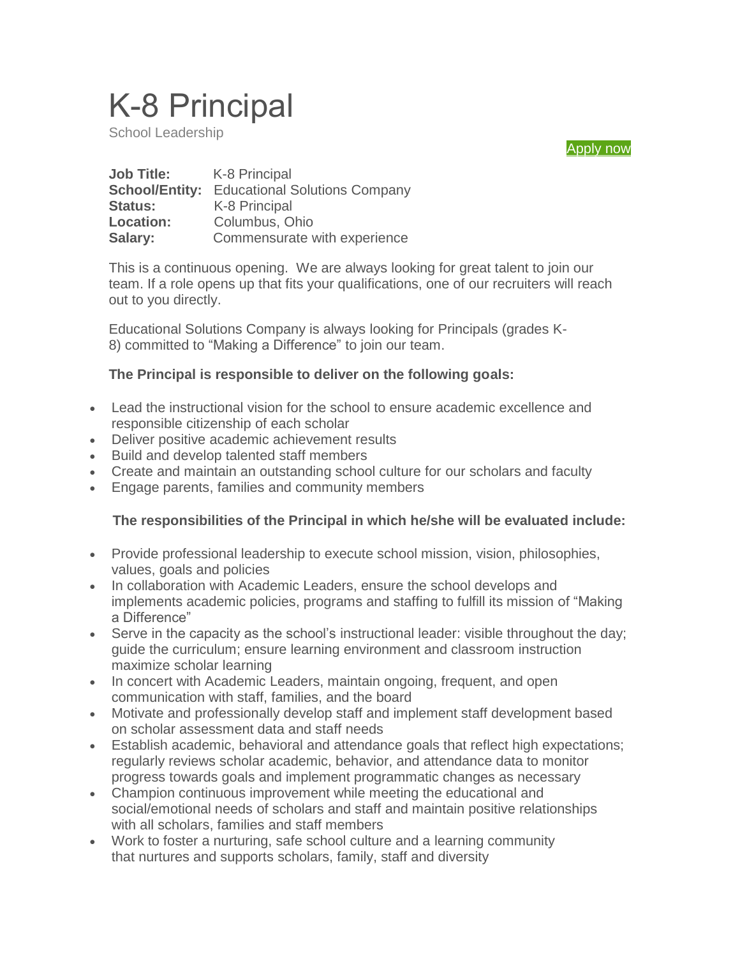# K-8 Principal

School Leadership



| <b>Job Title:</b>     | K-8 Principal                        |
|-----------------------|--------------------------------------|
| <b>School/Entity:</b> | <b>Educational Solutions Company</b> |
| <b>Status:</b>        | K-8 Principal                        |
| <b>Location:</b>      | Columbus, Ohio                       |
| Salary:               | Commensurate with experience         |

This is a continuous opening. We are always looking for great talent to join our team. If a role opens up that fits your qualifications, one of our recruiters will reach out to you directly.

Educational Solutions Company is always looking for Principals (grades K-8) committed to "Making a Difference" to join our team.

#### **The Principal is responsible to deliver on the following goals:**

- Lead the instructional vision for the school to ensure academic excellence and responsible citizenship of each scholar
- Deliver positive academic achievement results
- Build and develop talented staff members
- Create and maintain an outstanding school culture for our scholars and faculty
- Engage parents, families and community members

### **The responsibilities of the Principal in which he/she will be evaluated include:**

- Provide professional leadership to execute school mission, vision, philosophies, values, goals and policies
- In collaboration with Academic Leaders, ensure the school develops and implements academic policies, programs and staffing to fulfill its mission of "Making a Difference"
- Serve in the capacity as the school's instructional leader: visible throughout the day; guide the curriculum; ensure learning environment and classroom instruction maximize scholar learning
- In concert with Academic Leaders, maintain ongoing, frequent, and open communication with staff, families, and the board
- Motivate and professionally develop staff and implement staff development based on scholar assessment data and staff needs
- Establish academic, behavioral and attendance goals that reflect high expectations; regularly reviews scholar academic, behavior, and attendance data to monitor progress towards goals and implement programmatic changes as necessary
- Champion continuous improvement while meeting the educational and social/emotional needs of scholars and staff and maintain positive relationships with all scholars, families and staff members
- Work to foster a nurturing, safe school culture and a learning community that nurtures and supports scholars, family, staff and diversity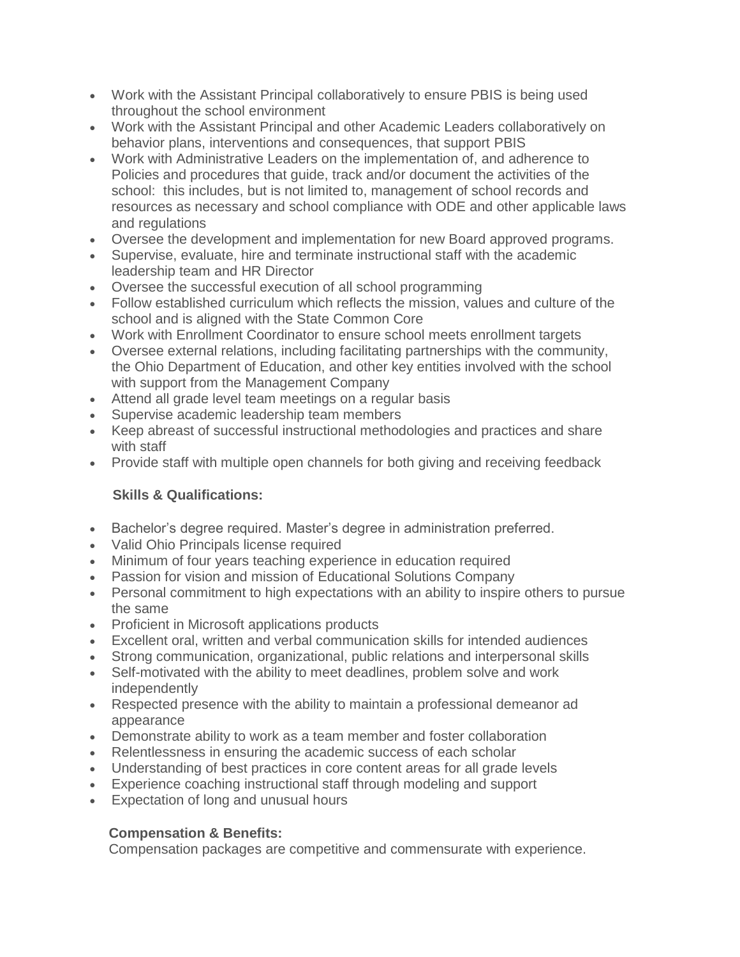- Work with the Assistant Principal collaboratively to ensure PBIS is being used throughout the school environment
- Work with the Assistant Principal and other Academic Leaders collaboratively on behavior plans, interventions and consequences, that support PBIS
- Work with Administrative Leaders on the implementation of, and adherence to Policies and procedures that guide, track and/or document the activities of the school: this includes, but is not limited to, management of school records and resources as necessary and school compliance with ODE and other applicable laws and regulations
- Oversee the development and implementation for new Board approved programs.
- Supervise, evaluate, hire and terminate instructional staff with the academic leadership team and HR Director
- Oversee the successful execution of all school programming
- Follow established curriculum which reflects the mission, values and culture of the school and is aligned with the State Common Core
- Work with Enrollment Coordinator to ensure school meets enrollment targets
- Oversee external relations, including facilitating partnerships with the community, the Ohio Department of Education, and other key entities involved with the school with support from the Management Company
- Attend all grade level team meetings on a regular basis
- Supervise academic leadership team members
- Keep abreast of successful instructional methodologies and practices and share with staff
- Provide staff with multiple open channels for both giving and receiving feedback

### **Skills & Qualifications:**

- Bachelor's degree required. Master's degree in administration preferred.
- Valid Ohio Principals license required
- Minimum of four vears teaching experience in education required
- Passion for vision and mission of Educational Solutions Company
- Personal commitment to high expectations with an ability to inspire others to pursue the same
- Proficient in Microsoft applications products
- Excellent oral, written and verbal communication skills for intended audiences
- Strong communication, organizational, public relations and interpersonal skills
- Self-motivated with the ability to meet deadlines, problem solve and work independently
- Respected presence with the ability to maintain a professional demeanor ad appearance
- Demonstrate ability to work as a team member and foster collaboration
- Relentlessness in ensuring the academic success of each scholar
- Understanding of best practices in core content areas for all grade levels
- Experience coaching instructional staff through modeling and support
- Expectation of long and unusual hours

### **Compensation & Benefits:**

Compensation packages are competitive and commensurate with experience.